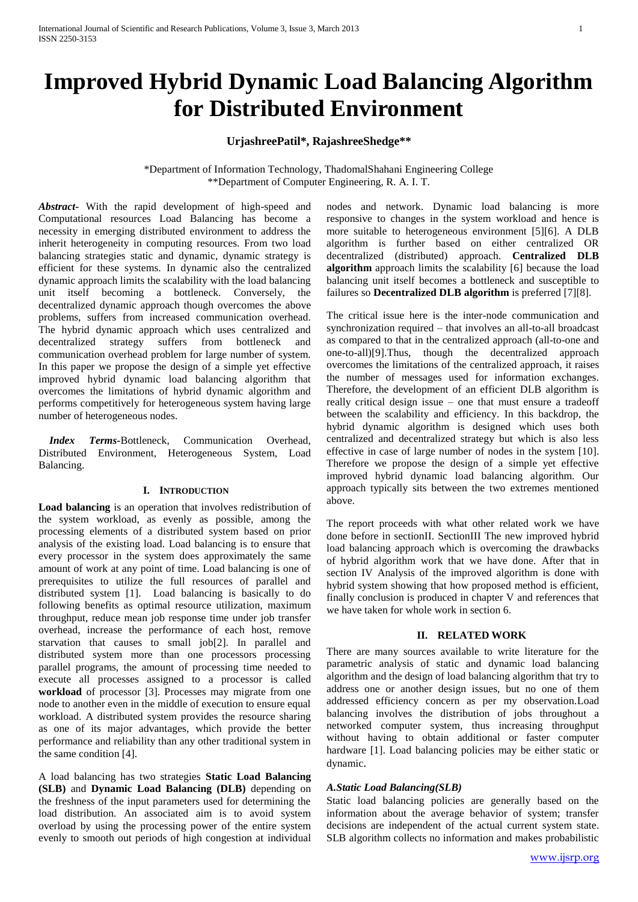# **Improved Hybrid Dynamic Load Balancing Algorithm for Distributed Environment**

## **UrjashreePatil\*, RajashreeShedge\*\***

\*Department of Information Technology, ThadomalShahani Engineering College \*\*Department of Computer Engineering, R. A. I. T.

*Abstract***-** With the rapid development of high-speed and Computational resources Load Balancing has become a necessity in emerging distributed environment to address the inherit heterogeneity in computing resources. From two load balancing strategies static and dynamic, dynamic strategy is efficient for these systems. In dynamic also the centralized dynamic approach limits the scalability with the load balancing unit itself becoming a bottleneck. Conversely, the decentralized dynamic approach though overcomes the above problems, suffers from increased communication overhead. The hybrid dynamic approach which uses centralized and decentralized strategy suffers from bottleneck and communication overhead problem for large number of system. In this paper we propose the design of a simple yet effective improved hybrid dynamic load balancing algorithm that overcomes the limitations of hybrid dynamic algorithm and performs competitively for heterogeneous system having large number of heterogeneous nodes.

 *Index Terms-*Bottleneck, Communication Overhead, Distributed Environment, Heterogeneous System, Load Balancing.

## **I. INTRODUCTION**

**Load balancing** is an operation that involves redistribution of the system workload, as evenly as possible, among the processing elements of a distributed system based on prior analysis of the existing load. Load balancing is to ensure that every processor in the system does approximately the same amount of work at any point of time. Load balancing is one of prerequisites to utilize the full resources of parallel and distributed system [1]. Load balancing is basically to do following benefits as optimal resource utilization, maximum throughput, reduce mean job response time under job transfer overhead, increase the performance of each host, remove starvation that causes to small job[2]. In parallel and distributed system more than one processors processing parallel programs, the amount of processing time needed to execute all processes assigned to a processor is called **workload** of processor [3]. Processes may migrate from one node to another even in the middle of execution to ensure equal workload. A distributed system provides the resource sharing as one of its major advantages, which provide the better performance and reliability than any other traditional system in the same condition [4].

A load balancing has two strategies **Static Load Balancing (SLB)** and **Dynamic Load Balancing (DLB)** depending on the freshness of the input parameters used for determining the load distribution. An associated aim is to avoid system overload by using the processing power of the entire system evenly to smooth out periods of high congestion at individual

nodes and network. Dynamic load balancing is more responsive to changes in the system workload and hence is more suitable to heterogeneous environment [5][6]. A DLB algorithm is further based on either centralized OR decentralized (distributed) approach. **Centralized DLB algorithm** approach limits the scalability [6] because the load balancing unit itself becomes a bottleneck and susceptible to failures so **Decentralized DLB algorithm** is preferred [7][8].

The critical issue here is the inter-node communication and synchronization required – that involves an all-to-all broadcast as compared to that in the centralized approach (all-to-one and one-to-all)[9].Thus, though the decentralized approach overcomes the limitations of the centralized approach, it raises the number of messages used for information exchanges. Therefore, the development of an efficient DLB algorithm is really critical design issue – one that must ensure a tradeoff between the scalability and efficiency. In this backdrop, the hybrid dynamic algorithm is designed which uses both centralized and decentralized strategy but which is also less effective in case of large number of nodes in the system [10]. Therefore we propose the design of a simple yet effective improved hybrid dynamic load balancing algorithm. Our approach typically sits between the two extremes mentioned above.

The report proceeds with what other related work we have done before in sectionII. SectionIII The new improved hybrid load balancing approach which is overcoming the drawbacks of hybrid algorithm work that we have done. After that in section IV Analysis of the improved algorithm is done with hybrid system showing that how proposed method is efficient, finally conclusion is produced in chapter V and references that we have taken for whole work in section 6.

#### **II. RELATED WORK**

There are many sources available to write literature for the parametric analysis of static and dynamic load balancing algorithm and the design of load balancing algorithm that try to address one or another design issues, but no one of them addressed efficiency concern as per my observation.Load balancing involves the distribution of jobs throughout a networked computer system, thus increasing throughput without having to obtain additional or faster computer hardware [1]. Load balancing policies may be either static or dynamic.

#### *A.Static Load Balancing(SLB)*

Static load balancing policies are generally based on the information about the average behavior of system; transfer decisions are independent of the actual current system state. SLB algorithm collects no information and makes probabilistic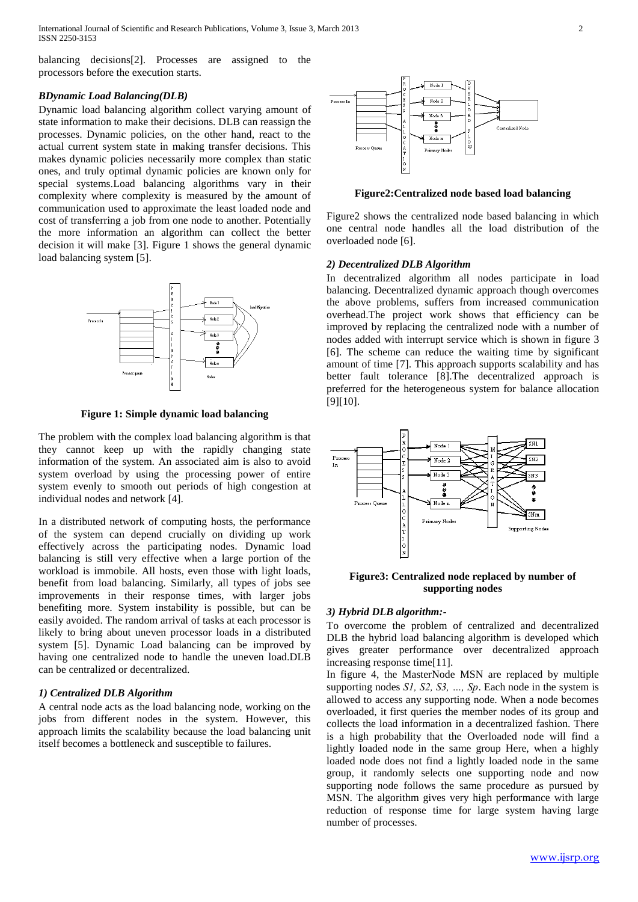International Journal of Scientific and Research Publications, Volume 3, Issue 3, March 2013 2 ISSN 2250-3153

balancing decisions[2]. Processes are assigned to the processors before the execution starts.

#### *BDynamic Load Balancing(DLB)*

Dynamic load balancing algorithm collect varying amount of state information to make their decisions. DLB can reassign the processes. Dynamic policies, on the other hand, react to the actual current system state in making transfer decisions. This makes dynamic policies necessarily more complex than static ones, and truly optimal dynamic policies are known only for special systems.Load balancing algorithms vary in their complexity where complexity is measured by the amount of communication used to approximate the least loaded node and cost of transferring a job from one node to another. Potentially the more information an algorithm can collect the better decision it will make [3]. Figure 1 shows the general dynamic load balancing system [5].



**Figure 1: Simple dynamic load balancing**

The problem with the complex load balancing algorithm is that they cannot keep up with the rapidly changing state information of the system. An associated aim is also to avoid system overload by using the processing power of entire system evenly to smooth out periods of high congestion at individual nodes and network [4].

In a distributed network of computing hosts, the performance of the system can depend crucially on dividing up work effectively across the participating nodes. Dynamic load balancing is still very effective when a large portion of the workload is immobile. All hosts, even those with light loads, benefit from load balancing. Similarly, all types of jobs see improvements in their response times, with larger jobs benefiting more. System instability is possible, but can be easily avoided. The random arrival of tasks at each processor is likely to bring about uneven processor loads in a distributed system [5]. Dynamic Load balancing can be improved by having one centralized node to handle the uneven load.DLB can be centralized or decentralized.

### *1) Centralized DLB Algorithm*

A central node acts as the load balancing node, working on the jobs from different nodes in the system. However, this approach limits the scalability because the load balancing unit itself becomes a bottleneck and susceptible to failures.



**Figure2:Centralized node based load balancing**

Figure2 shows the centralized node based balancing in which one central node handles all the load distribution of the overloaded node [6].

#### *2) Decentralized DLB Algorithm*

In decentralized algorithm all nodes participate in load balancing. Decentralized dynamic approach though overcomes the above problems, suffers from increased communication overhead.The project work shows that efficiency can be improved by replacing the centralized node with a number of nodes added with interrupt service which is shown in figure 3 [6]. The scheme can reduce the waiting time by significant amount of time [7]. This approach supports scalability and has better fault tolerance [8].The decentralized approach is preferred for the heterogeneous system for balance allocation [9][10].



**Figure3: Centralized node replaced by number of supporting nodes**

#### *3) Hybrid DLB algorithm:-*

To overcome the problem of centralized and decentralized DLB the hybrid load balancing algorithm is developed which gives greater performance over decentralized approach increasing response time[11].

In figure 4, the MasterNode MSN are replaced by multiple supporting nodes *S1, S2, S3, …, Sp*. Each node in the system is allowed to access any supporting node. When a node becomes overloaded, it first queries the member nodes of its group and collects the load information in a decentralized fashion. There is a high probability that the Overloaded node will find a lightly loaded node in the same group Here, when a highly loaded node does not find a lightly loaded node in the same group, it randomly selects one supporting node and now supporting node follows the same procedure as pursued by MSN. The algorithm gives very high performance with large reduction of response time for large system having large number of processes.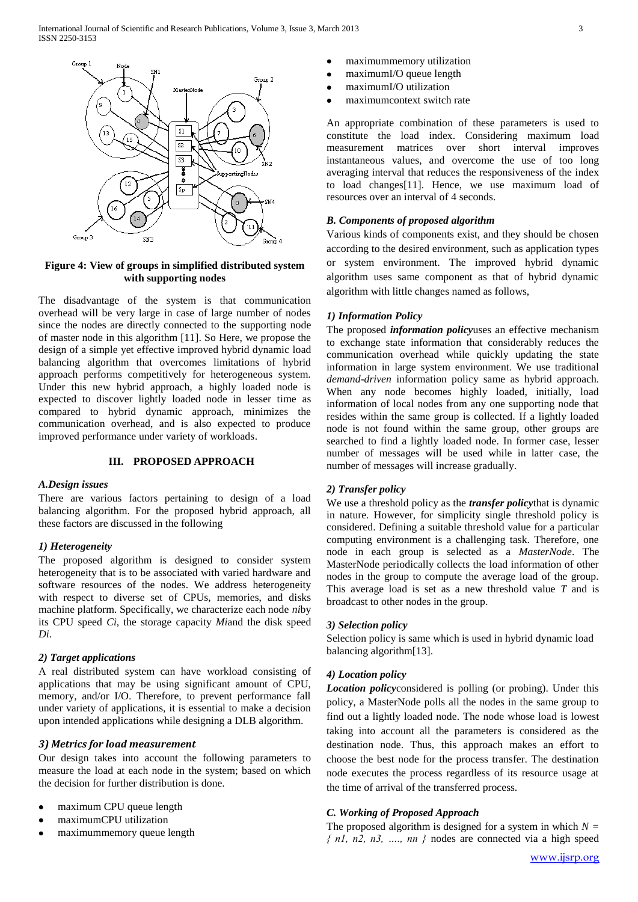

### **Figure 4: View of groups in simplified distributed system with supporting nodes**

The disadvantage of the system is that communication overhead will be very large in case of large number of nodes since the nodes are directly connected to the supporting node of master node in this algorithm [11]. So Here, we propose the design of a simple yet effective improved hybrid dynamic load balancing algorithm that overcomes limitations of hybrid approach performs competitively for heterogeneous system. Under this new hybrid approach, a highly loaded node is expected to discover lightly loaded node in lesser time as compared to hybrid dynamic approach, minimizes the communication overhead, and is also expected to produce improved performance under variety of workloads.

#### **III. PROPOSED APPROACH**

#### *A.Design issues*

There are various factors pertaining to design of a load balancing algorithm. For the proposed hybrid approach, all these factors are discussed in the following

## *1) Heterogeneity*

The proposed algorithm is designed to consider system heterogeneity that is to be associated with varied hardware and software resources of the nodes. We address heterogeneity with respect to diverse set of CPUs, memories, and disks machine platform. Specifically, we characterize each node *ni*by its CPU speed *Ci*, the storage capacity *Mi*and the disk speed *Di*.

## *2) Target applications*

A real distributed system can have workload consisting of applications that may be using significant amount of CPU, memory, and/or I/O. Therefore, to prevent performance fall under variety of applications, it is essential to make a decision upon intended applications while designing a DLB algorithm.

## *3) Metrics for load measurement*

Our design takes into account the following parameters to measure the load at each node in the system; based on which the decision for further distribution is done.

- maximum CPU queue length
- maximumCPU utilization
- maximummemory queue length
- maximummemory utilization
- maximumI/O queue length
- maximumI/O utilization
- maximumcontext switch rate

An appropriate combination of these parameters is used to constitute the load index. Considering maximum load measurement matrices over short interval improves instantaneous values, and overcome the use of too long averaging interval that reduces the responsiveness of the index to load changes[11]. Hence, we use maximum load of resources over an interval of 4 seconds.

## *B. Components of proposed algorithm*

Various kinds of components exist, and they should be chosen according to the desired environment, such as application types or system environment. The improved hybrid dynamic algorithm uses same component as that of hybrid dynamic algorithm with little changes named as follows,

## *1) Information Policy*

The proposed *information policy*uses an effective mechanism to exchange state information that considerably reduces the communication overhead while quickly updating the state information in large system environment. We use traditional *demand-driven* information policy same as hybrid approach. When any node becomes highly loaded, initially, load information of local nodes from any one supporting node that resides within the same group is collected. If a lightly loaded node is not found within the same group, other groups are searched to find a lightly loaded node. In former case, lesser number of messages will be used while in latter case, the number of messages will increase gradually.

## *2) Transfer policy*

We use a threshold policy as the *transfer policy*that is dynamic in nature. However, for simplicity single threshold policy is considered. Defining a suitable threshold value for a particular computing environment is a challenging task. Therefore, one node in each group is selected as a *MasterNode*. The MasterNode periodically collects the load information of other nodes in the group to compute the average load of the group. This average load is set as a new threshold value *T* and is broadcast to other nodes in the group.

#### *3) Selection policy*

Selection policy is same which is used in hybrid dynamic load balancing algorithm[13].

## *4) Location policy*

*Location policy*considered is polling (or probing). Under this policy, a MasterNode polls all the nodes in the same group to find out a lightly loaded node. The node whose load is lowest taking into account all the parameters is considered as the destination node. Thus, this approach makes an effort to choose the best node for the process transfer. The destination node executes the process regardless of its resource usage at the time of arrival of the transferred process.

## *C. Working of Proposed Approach*

The proposed algorithm is designed for a system in which  $N =$ *{ n1, n2, n3, …., nn }* nodes are connected via a high speed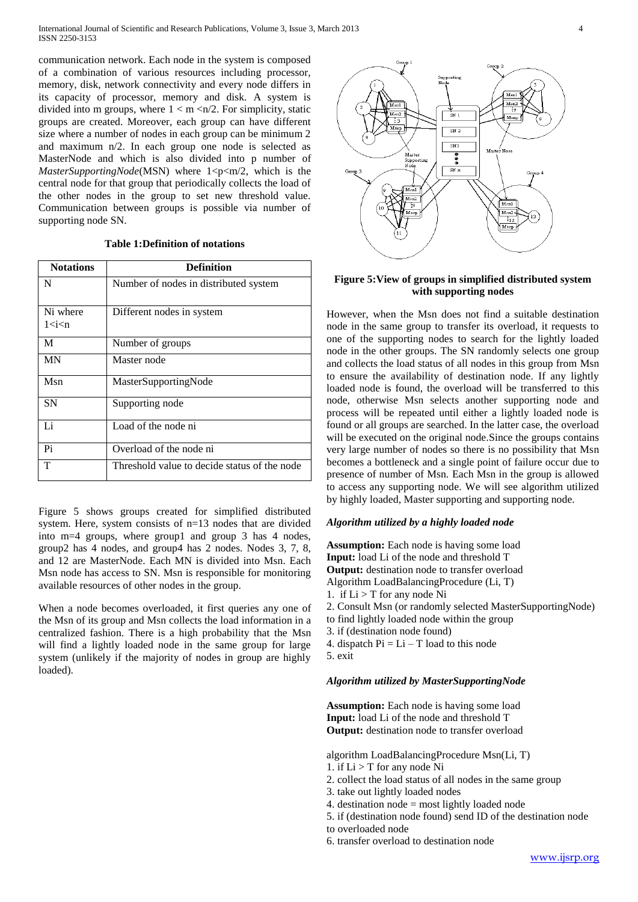communication network. Each node in the system is composed of a combination of various resources including processor, memory, disk, network connectivity and every node differs in its capacity of processor, memory and disk. A system is divided into m groups, where  $1 < m < n/2$ . For simplicity, static groups are created. Moreover, each group can have different size where a number of nodes in each group can be minimum 2 and maximum n/2. In each group one node is selected as MasterNode and which is also divided into p number of *MasterSupportingNode*(MSN) where  $1 < p < m/2$ , which is the central node for that group that periodically collects the load of the other nodes in the group to set new threshold value. Communication between groups is possible via number of supporting node SN.

## **Table 1:Definition of notations**

| <b>Notations</b>                                                    | <b>Definition</b>                            |
|---------------------------------------------------------------------|----------------------------------------------|
| N                                                                   | Number of nodes in distributed system        |
| Ni where<br>1 <i<n< td=""><td>Different nodes in system</td></i<n<> | Different nodes in system                    |
| M                                                                   | Number of groups                             |
| <b>MN</b>                                                           | Master node                                  |
| Msn                                                                 | MasterSupportingNode                         |
| SN                                                                  | Supporting node                              |
| Li                                                                  | Load of the node ni                          |
| P <sub>i</sub>                                                      | Overload of the node ni                      |
| T                                                                   | Threshold value to decide status of the node |

Figure 5 shows groups created for simplified distributed system. Here, system consists of n=13 nodes that are divided into m=4 groups, where group1 and group 3 has 4 nodes, group2 has 4 nodes, and group4 has 2 nodes. Nodes 3, 7, 8, and 12 are MasterNode. Each MN is divided into Msn. Each Msn node has access to SN. Msn is responsible for monitoring available resources of other nodes in the group.

When a node becomes overloaded, it first queries any one of the Msn of its group and Msn collects the load information in a centralized fashion. There is a high probability that the Msn will find a lightly loaded node in the same group for large system (unlikely if the majority of nodes in group are highly loaded).



#### **Figure 5:View of groups in simplified distributed system with supporting nodes**

However, when the Msn does not find a suitable destination node in the same group to transfer its overload, it requests to one of the supporting nodes to search for the lightly loaded node in the other groups. The SN randomly selects one group and collects the load status of all nodes in this group from Msn to ensure the availability of destination node. If any lightly loaded node is found, the overload will be transferred to this node, otherwise Msn selects another supporting node and process will be repeated until either a lightly loaded node is found or all groups are searched. In the latter case, the overload will be executed on the original node.Since the groups contains very large number of nodes so there is no possibility that Msn becomes a bottleneck and a single point of failure occur due to presence of number of Msn. Each Msn in the group is allowed to access any supporting node. We will see algorithm utilized by highly loaded, Master supporting and supporting node.

#### *Algorithm utilized by a highly loaded node*

**Assumption:** Each node is having some load **Input:** load Li of the node and threshold T **Output:** destination node to transfer overload Algorithm LoadBalancingProcedure (Li, T) 1. if  $Li > T$  for any node Ni 2. Consult Msn (or randomly selected MasterSupportingNode) to find lightly loaded node within the group

- 3. if (destination node found)
- 4. dispatch  $Pi = Li T$  load to this node
- 5. exit

#### *Algorithm utilized by MasterSupportingNode*

**Assumption:** Each node is having some load **Input:** load Li of the node and threshold T **Output:** destination node to transfer overload

algorithm LoadBalancingProcedure Msn(Li, T)

- 1. if  $Li > T$  for any node Ni
- 2. collect the load status of all nodes in the same group
- 3. take out lightly loaded nodes
- 4. destination node = most lightly loaded node
- 5. if (destination node found) send ID of the destination node
- to overloaded node
- 6. transfer overload to destination node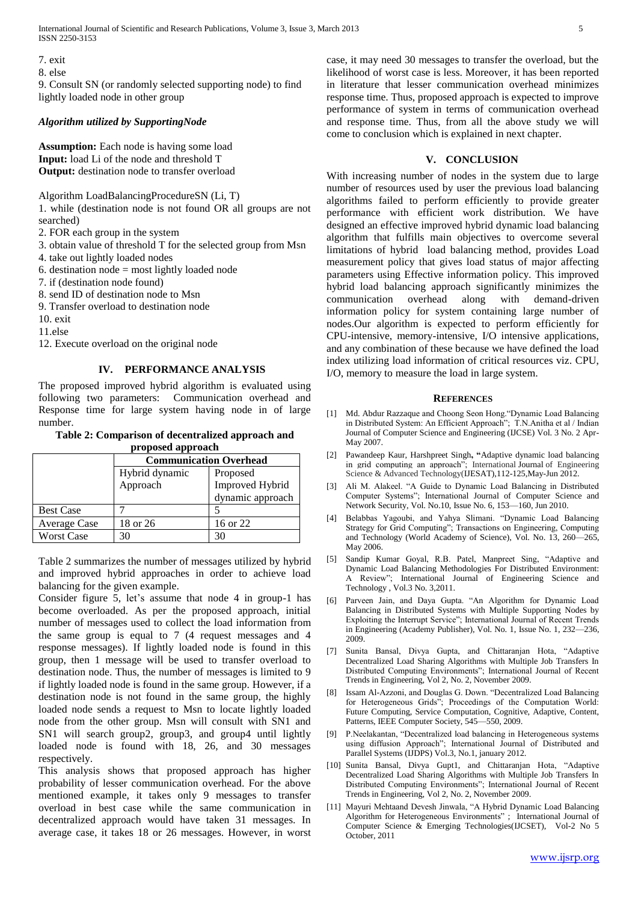7. exit

8. else

9. Consult SN (or randomly selected supporting node) to find lightly loaded node in other group

#### *Algorithm utilized by SupportingNode*

**Assumption:** Each node is having some load **Input:** load Li of the node and threshold T **Output:** destination node to transfer overload

Algorithm LoadBalancingProcedureSN (Li, T)

1. while (destination node is not found OR all groups are not searched)

2. FOR each group in the system

- 3. obtain value of threshold T for the selected group from Msn
- 4. take out lightly loaded nodes

6. destination node  $=$  most lightly loaded node

7. if (destination node found)

8. send ID of destination node to Msn

9. Transfer overload to destination node

10. exit

11.else

12. Execute overload on the original node

## **IV. PERFORMANCE ANALYSIS**

The proposed improved hybrid algorithm is evaluated using following two parameters: Communication overhead and Response time for large system having node in of large number.

#### **Table 2: Comparison of decentralized approach and proposed approach**

|                   | <b>Communication Overhead</b> |                  |
|-------------------|-------------------------------|------------------|
|                   | Hybrid dynamic                | Proposed         |
|                   | Approach                      | Improved Hybrid  |
|                   |                               | dynamic approach |
| <b>Best Case</b>  |                               |                  |
| Average Case      | 18 or 26                      | 16 or 22         |
| <b>Worst Case</b> | 30                            | 30               |

Table 2 summarizes the number of messages utilized by hybrid and improved hybrid approaches in order to achieve load balancing for the given example.

Consider figure 5, let's assume that node 4 in group-1 has become overloaded. As per the proposed approach, initial number of messages used to collect the load information from the same group is equal to 7 (4 request messages and 4 response messages). If lightly loaded node is found in this group, then 1 message will be used to transfer overload to destination node. Thus, the number of messages is limited to 9 if lightly loaded node is found in the same group. However, if a destination node is not found in the same group, the highly loaded node sends a request to Msn to locate lightly loaded node from the other group. Msn will consult with SN1 and SN1 will search group2, group3, and group4 until lightly loaded node is found with 18, 26, and 30 messages respectively.

This analysis shows that proposed approach has higher probability of lesser communication overhead. For the above mentioned example, it takes only 9 messages to transfer overload in best case while the same communication in decentralized approach would have taken 31 messages. In average case, it takes 18 or 26 messages. However, in worst case, it may need 30 messages to transfer the overload, but the likelihood of worst case is less. Moreover, it has been reported in literature that lesser communication overhead minimizes response time. Thus, proposed approach is expected to improve performance of system in terms of communication overhead and response time. Thus, from all the above study we will come to conclusion which is explained in next chapter.

## **V. CONCLUSION**

With increasing number of nodes in the system due to large number of resources used by user the previous load balancing algorithms failed to perform efficiently to provide greater performance with efficient work distribution. We have designed an effective improved hybrid dynamic load balancing algorithm that fulfills main objectives to overcome several limitations of hybrid load balancing method, provides Load measurement policy that gives load status of major affecting parameters using Effective information policy. This improved hybrid load balancing approach significantly minimizes the communication overhead along with demand-driven information policy for system containing large number of nodes.Our algorithm is expected to perform efficiently for CPU-intensive, memory-intensive, I/O intensive applications, and any combination of these because we have defined the load index utilizing load information of critical resources viz. CPU, I/O, memory to measure the load in large system.

#### **REFERENCES**

- [1] Md. Abdur Razzaque and Choong Seon Hong. "Dynamic Load Balancing in Distributed System: An Efficient Approach"; T.N.Anitha et al / Indian Journal of Computer Science and Engineering (IJCSE) Vol. 3 No. 2 Apr-May 2007.
- [2] Pawandeep Kaur, Harshpreet Singh**, "**Adaptive dynamic load balancing in grid computing an approach"; International Journal of Engineering Science & Advanced Technology(IJESAT),112-125,May-Jun 2012.
- [3] Ali M. Alakeel. "A Guide to Dynamic Load Balancing in Distributed Computer Systems"; International Journal of Computer Science and Network Security, Vol. No.10, Issue No. 6, 153—160, Jun 2010.
- [4] Belabbas Yagoubi, and Yahya Slimani. "Dynamic Load Balancing Strategy for Grid Computing"; Transactions on Engineering, Computing and Technology (World Academy of Science), Vol. No. 13, 260—265, May 2006.
- [5] Sandip Kumar Goyal, R.B. Patel, Manpreet Sing, "Adaptive and Dynamic Load Balancing Methodologies For Distributed Environment: A Review"; International Journal of Engineering Science and Technology , Vol.3 No. 3,2011.
- Parveen Jain, and Daya Gupta. "An Algorithm for Dynamic Load Balancing in Distributed Systems with Multiple Supporting Nodes by Exploiting the Interrupt Service"; International Journal of Recent Trends in Engineering (Academy Publisher), Vol. No. 1, Issue No. 1, 232—236, 2009.
- [7] Sunita Bansal, Divya Gupta, and Chittaranjan Hota, "Adaptive Decentralized Load Sharing Algorithms with Multiple Job Transfers In Distributed Computing Environments‖; International Journal of Recent Trends in Engineering, Vol 2, No. 2, November 2009.
- [8] Issam Al-Azzoni, and Douglas G. Down. "Decentralized Load Balancing for Heterogeneous Grids"; Proceedings of the Computation World: Future Computing, Service Computation, Cognitive, Adaptive, Content, Patterns, IEEE Computer Society, 545-550, 2009.
- [9] P.Neelakantan, "Decentralized load balancing in Heterogeneous systems using diffusion Approach"; International Journal of Distributed and Parallel Systems (IJDPS) Vol.3, No.1, january 2012.
- [10] Sunita Bansal, Divya Gupt1, and Chittaranjan Hota, "Adaptive Decentralized Load Sharing Algorithms with Multiple Job Transfers In Distributed Computing Environments‖; International Journal of Recent Trends in Engineering, Vol 2, No. 2, November 2009.
- [11] Mayuri Mehtaand Devesh Jinwala, "A Hybrid Dynamic Load Balancing Algorithm for Heterogeneous Environments" ; International Journal of Computer Science & Emerging Technologies(IJCSET), Vol-2 No 5 October, 2011